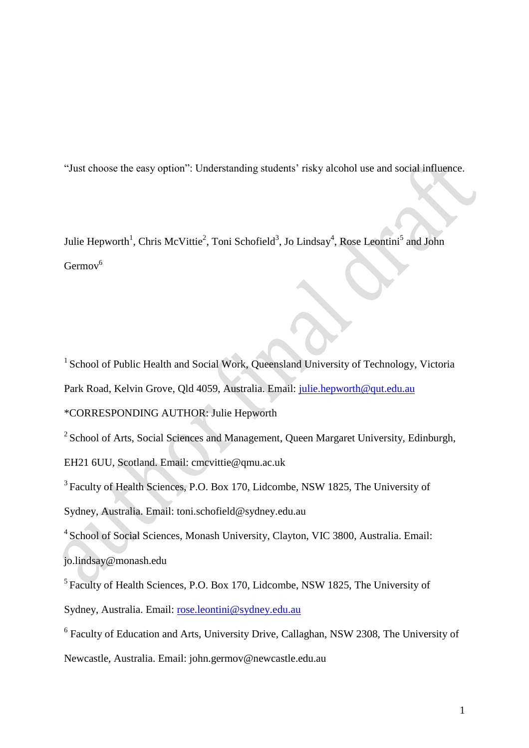"Just choose the easy option": Understanding students' risky alcohol use and social influence.

Julie Hepworth<sup>1</sup>, Chris McVittie<sup>2</sup>, Toni Schofield<sup>3</sup>, Jo Lindsay<sup>4</sup>, Rose Leontini<sup>5</sup> and John  $Germov^6$ 

<sup>1</sup> School of Public Health and Social Work, Queensland University of Technology, Victoria Park Road, Kelvin Grove, Qld 4059, Australia. Email: [julie.hepworth@qut.edu.au](mailto:julie.hepworth@qut.edu.au)

\*CORRESPONDING AUTHOR: Julie Hepworth

 $2$  School of Arts, Social Sciences and Management, Queen Margaret University, Edinburgh,

EH21 6UU, Scotland. Email: cmcvittie@qmu.ac.uk

<sup>3</sup> Faculty of Health Sciences, P.O. Box 170, Lidcombe, NSW 1825, The University of

Sydney, Australia. Email: toni.schofield@sydney.edu.au

<sup>4</sup> School of Social Sciences, Monash University, Clayton, VIC 3800, Australia. Email:

jo.lindsay@monash.edu

<sup>5</sup> Faculty of Health Sciences, P.O. Box 170, Lidcombe, NSW 1825, The University of Sydney, Australia. Email: [rose.leontini@sydney.edu.au](mailto:rose.leontini@sydney.edu.au)

<sup>6</sup> Faculty of Education and Arts, University Drive, Callaghan, NSW 2308, The University of

Newcastle, Australia. Email: john.germov@newcastle.edu.au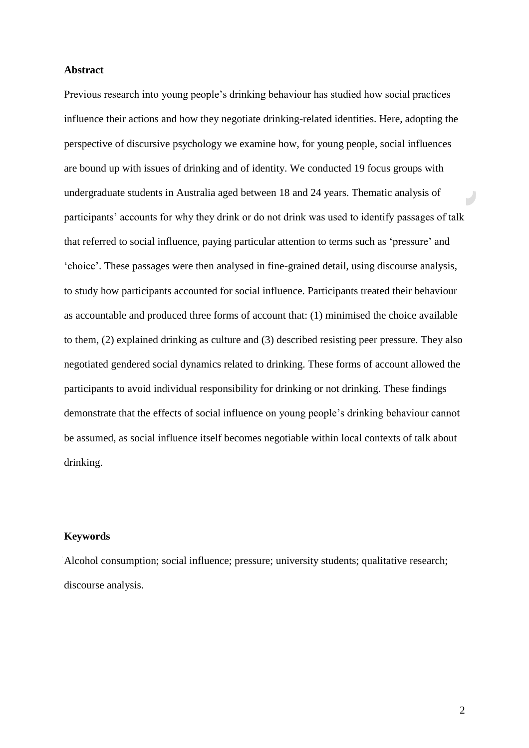## **Abstract**

Previous research into young people's drinking behaviour has studied how social practices influence their actions and how they negotiate drinking-related identities. Here, adopting the perspective of discursive psychology we examine how, for young people, social influences are bound up with issues of drinking and of identity. We conducted 19 focus groups with undergraduate students in Australia aged between 18 and 24 years. Thematic analysis of participants' accounts for why they drink or do not drink was used to identify passages of talk that referred to social influence, paying particular attention to terms such as 'pressure' and 'choice'. These passages were then analysed in fine-grained detail, using discourse analysis, to study how participants accounted for social influence. Participants treated their behaviour as accountable and produced three forms of account that: (1) minimised the choice available to them, (2) explained drinking as culture and (3) described resisting peer pressure. They also negotiated gendered social dynamics related to drinking. These forms of account allowed the participants to avoid individual responsibility for drinking or not drinking. These findings demonstrate that the effects of social influence on young people's drinking behaviour cannot be assumed, as social influence itself becomes negotiable within local contexts of talk about drinking.

# **Keywords**

Alcohol consumption; social influence; pressure; university students; qualitative research; discourse analysis.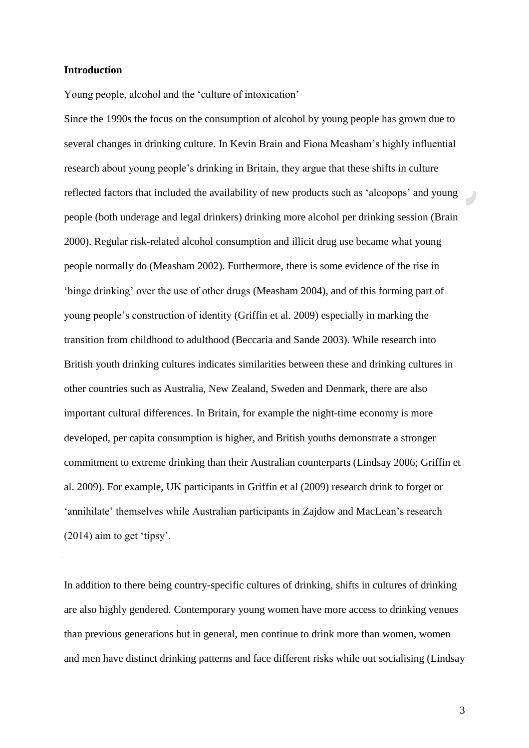### **Introduction**

Young people, alcohol and the 'culture of intoxication'

Since the 1990s the focus on the consumption of alcohol by young people has grown due to several changes in drinking culture. In Kevin Brain and Fiona Measham's highly influential research about young people's drinking in Britain, they argue that these shifts in culture reflected factors that included the availability of new products such as 'alcopops' and young people (both underage and legal drinkers) drinking more alcohol per drinking session [\(Brain](#page-28-0)  [2000\)](#page-28-0). Regular risk-related alcohol consumption and illicit drug use became what young people normally do [\(Measham 2002\)](#page-30-0). Furthermore, there is some evidence of the rise in 'binge drinking' over the use of other drugs [\(Measham](#page-30-1) 2004), and of this forming part of young people's construction of identity [\(Griffin](#page-29-0) et al. 2009) especially in marking the transition from childhood to adulthood (Beccaria and Sande 2003). While research into British youth drinking cultures indicates similarities between these and drinking cultures in other countries such as Australia, New Zealand, Sweden and Denmark, there are also important cultural differences. In Britain, for example the night-time economy is more developed, per capita consumption is higher, and British youths demonstrate a stronger commitment to extreme drinking than their Australian counterparts (Lindsay 2006; Griffin et al. 2009). For example, UK participants in Griffin et al (2009) research drink to forget or 'annihilate' themselves while Australian participants in Zajdow and MacLean's research (2014) aim to get 'tipsy'.

In addition to there being country-specific cultures of drinking, shifts in cultures of drinking are also highly gendered. Contemporary young women have more access to drinking venues than previous generations but in general, men continue to drink more than women, women and men have distinct drinking patterns and face different risks while out socialising (Lindsay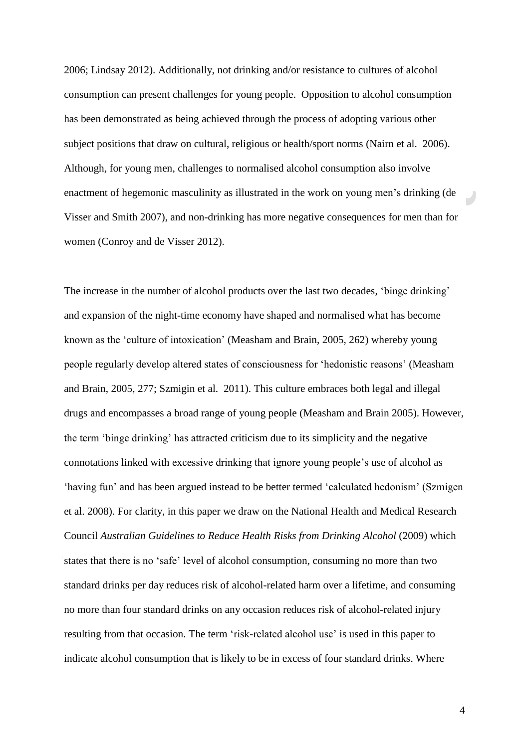2006; Lindsay 2012). Additionally, not drinking and/or resistance to cultures of alcohol consumption can present challenges for young people. Opposition to alcohol consumption has been demonstrated as being achieved through the process of adopting various other subject positions that draw on cultural, religious or health/sport norms (Nairn et al. 2006). Although, for young men, challenges to normalised alcohol consumption also involve enactment of hegemonic masculinity as illustrated in the work on young men's drinking (de Visser and Smith 2007), and non-drinking has more negative consequences for men than for women (Conroy and de Visser 2012).

The increase in the number of alcohol products over the last two decades, 'binge drinking' and expansion of the night-time economy have shaped and normalised what has become known as the 'culture of intoxication' (Measham and Brain, 2005, 262) whereby young people regularly develop altered states of consciousness for 'hedonistic reasons' (Measham and Brain, 2005, 277; [Szmigin et al. 2011\)](#page-32-0). This culture embraces both legal and illegal drugs and encompasses a broad range of young people [\(Measham and](#page-30-2) Brain 2005). However, the term 'binge drinking' has attracted criticism due to its simplicity and the negative connotations linked with excessive drinking that ignore young people's use of alcohol as 'having fun' and has been argued instead to be better termed 'calculated hedonism' (Szmigen et al. 2008). For clarity, in this paper we draw on the National Health and Medical Research Council *Australian Guidelines to Reduce Health Risks from Drinking Alcohol* (2009) which states that there is no 'safe' level of alcohol consumption, consuming no more than two standard drinks per day reduces risk of alcohol-related harm over a lifetime, and consuming no more than four standard drinks on any occasion reduces risk of alcohol-related injury resulting from that occasion. The term 'risk-related alcohol use' is used in this paper to indicate alcohol consumption that is likely to be in excess of four standard drinks. Where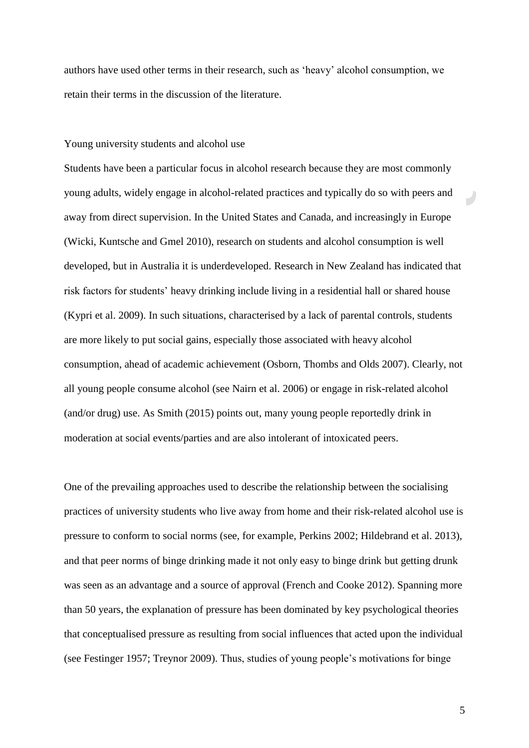authors have used other terms in their research, such as 'heavy' alcohol consumption, we retain their terms in the discussion of the literature.

### Young university students and alcohol use

Students have been a particular focus in alcohol research because they are most commonly young adults, widely engage in alcohol-related practices and typically do so with peers and away from direct supervision. In the United States and Canada, and increasingly in Europe [\(Wicki, Kuntsche](#page-32-1) and Gmel 2010), research on students and alcohol consumption is well developed, but in Australia it is underdeveloped. Research in New Zealand has indicated that risk factors for students' heavy drinking include living in a residential hall or shared house (Kypri [et al. 2009\)](#page-30-3). In such situations, characterised by a lack of parental controls, students are more likely to put social gains, especially those associated with heavy alcohol consumption, ahead of academic achievement [\(Osborn, Thombs](#page-31-0) and Olds 2007). Clearly, not all young people consume alcohol (see Nairn et al. 2006) or engage in risk-related alcohol (and/or drug) use. As Smith (2015) points out, many young people reportedly drink in moderation at social events/parties and are also intolerant of intoxicated peers.

One of the prevailing approaches used to describe the relationship between the socialising practices of university students who live away from home and their risk-related alcohol use is pressure to conform to social norms (see, for example, Perkins 2002; Hildebrand et al. 2013), and that peer norms of binge drinking made it not only easy to binge drink but getting drunk was seen as an advantage and a source of approval (French and Cooke 2012). Spanning more than 50 years, the explanation of pressure has been dominated by key psychological theories that conceptualised pressure as resulting from social influences that acted upon the individual (see Festinger 1957; Treynor 2009). Thus, studies of young people's motivations for binge

 $\overline{\phantom{a}}$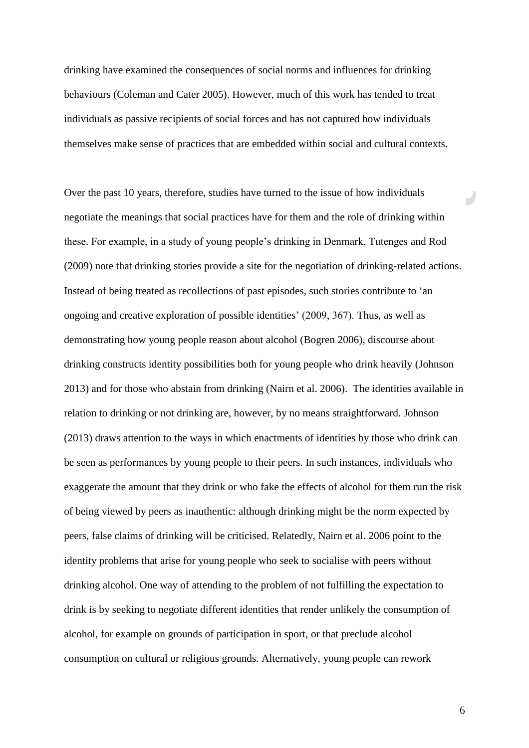drinking have examined the consequences of social norms and influences for drinking behaviours (Coleman and Cater 2005). However, much of this work has tended to treat individuals as passive recipients of social forces and has not captured how individuals themselves make sense of practices that are embedded within social and cultural contexts.

Over the past 10 years, therefore, studies have turned to the issue of how individuals negotiate the meanings that social practices have for them and the role of drinking within these. For example, in a study of young people's drinking in Denmark, Tutenges and Rod (2009) note that drinking stories provide a site for the negotiation of drinking-related actions. Instead of being treated as recollections of past episodes, such stories contribute to 'an ongoing and creative exploration of possible identities' (2009, 367). Thus, as well as demonstrating how young people reason about alcohol (Bogren 2006), discourse about drinking constructs identity possibilities both for young people who drink heavily (Johnson 2013) and for those who abstain from drinking (Nairn et al. 2006). The identities available in relation to drinking or not drinking are, however, by no means straightforward. Johnson (2013) draws attention to the ways in which enactments of identities by those who drink can be seen as performances by young people to their peers. In such instances, individuals who exaggerate the amount that they drink or who fake the effects of alcohol for them run the risk of being viewed by peers as inauthentic: although drinking might be the norm expected by peers, false claims of drinking will be criticised. Relatedly, Nairn et al. 2006 point to the identity problems that arise for young people who seek to socialise with peers without drinking alcohol. One way of attending to the problem of not fulfilling the expectation to drink is by seeking to negotiate different identities that render unlikely the consumption of alcohol, for example on grounds of participation in sport, or that preclude alcohol consumption on cultural or religious grounds. Alternatively, young people can rework

6

E.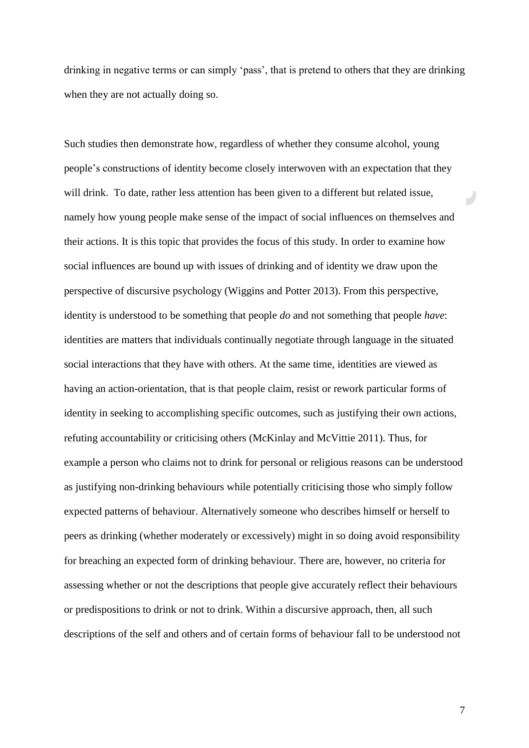drinking in negative terms or can simply 'pass', that is pretend to others that they are drinking when they are not actually doing so.

Such studies then demonstrate how, regardless of whether they consume alcohol, young people's constructions of identity become closely interwoven with an expectation that they will drink. To date, rather less attention has been given to a different but related issue, namely how young people make sense of the impact of social influences on themselves and their actions. It is this topic that provides the focus of this study. In order to examine how social influences are bound up with issues of drinking and of identity we draw upon the perspective of discursive psychology (Wiggins and Potter 2013). From this perspective, identity is understood to be something that people *do* and not something that people *have*: identities are matters that individuals continually negotiate through language in the situated social interactions that they have with others. At the same time, identities are viewed as having an action-orientation, that is that people claim, resist or rework particular forms of identity in seeking to accomplishing specific outcomes, such as justifying their own actions, refuting accountability or criticising others (McKinlay and McVittie 2011). Thus, for example a person who claims not to drink for personal or religious reasons can be understood as justifying non-drinking behaviours while potentially criticising those who simply follow expected patterns of behaviour. Alternatively someone who describes himself or herself to peers as drinking (whether moderately or excessively) might in so doing avoid responsibility for breaching an expected form of drinking behaviour. There are, however, no criteria for assessing whether or not the descriptions that people give accurately reflect their behaviours or predispositions to drink or not to drink. Within a discursive approach, then, all such descriptions of the self and others and of certain forms of behaviour fall to be understood not

7

 $\overline{\phantom{a}}$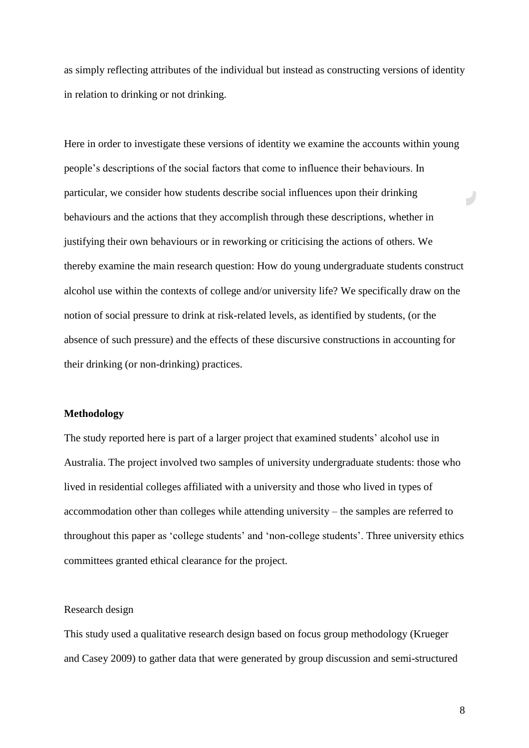as simply reflecting attributes of the individual but instead as constructing versions of identity in relation to drinking or not drinking.

Here in order to investigate these versions of identity we examine the accounts within young people's descriptions of the social factors that come to influence their behaviours. In particular, we consider how students describe social influences upon their drinking behaviours and the actions that they accomplish through these descriptions, whether in justifying their own behaviours or in reworking or criticising the actions of others. We thereby examine the main research question: How do young undergraduate students construct alcohol use within the contexts of college and/or university life? We specifically draw on the notion of social pressure to drink at risk-related levels, as identified by students, (or the absence of such pressure) and the effects of these discursive constructions in accounting for their drinking (or non-drinking) practices.

### **Methodology**

The study reported here is part of a larger project that examined students' alcohol use in Australia. The project involved two samples of university undergraduate students: those who lived in residential colleges affiliated with a university and those who lived in types of accommodation other than colleges while attending university – the samples are referred to throughout this paper as 'college students' and 'non-college students'. Three university ethics committees granted ethical clearance for the project.

### Research design

This study used a qualitative research design based on focus group methodology [\(Krueger](#page-30-4)  and [Casey 2009\)](#page-30-4) to gather data that were generated by group discussion and semi-structured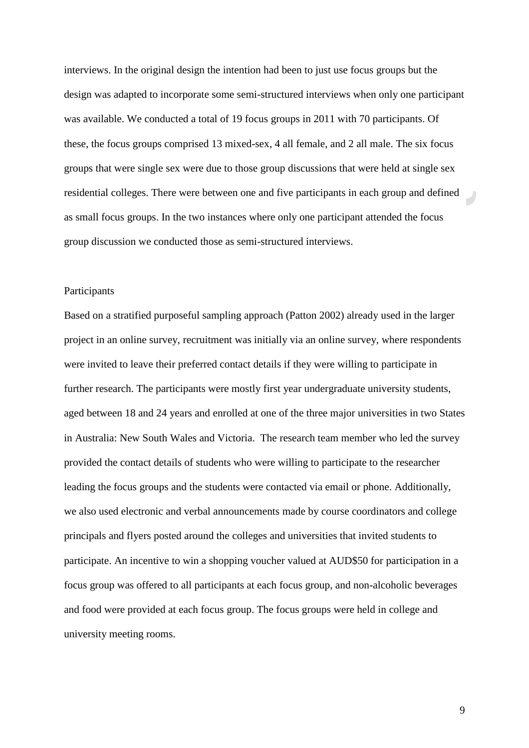interviews. In the original design the intention had been to just use focus groups but the design was adapted to incorporate some semi-structured interviews when only one participant was available. We conducted a total of 19 focus groups in 2011 with 70 participants. Of these, the focus groups comprised 13 mixed-sex, 4 all female, and 2 all male. The six focus groups that were single sex were due to those group discussions that were held at single sex residential colleges. There were between one and five participants in each group and defined as small focus groups. In the two instances where only one participant attended the focus group discussion we conducted those as semi-structured interviews.

## Participants

Based on a stratified purposeful sampling approach (Patton 2002) already used in the larger project in an online survey, recruitment was initially via an online survey, where respondents were invited to leave their preferred contact details if they were willing to participate in further research. The participants were mostly first year undergraduate university students, aged between 18 and 24 years and enrolled at one of the three major universities in two States in Australia: New South Wales and Victoria. The research team member who led the survey provided the contact details of students who were willing to participate to the researcher leading the focus groups and the students were contacted via email or phone. Additionally, we also used electronic and verbal announcements made by course coordinators and college principals and flyers posted around the colleges and universities that invited students to participate. An incentive to win a shopping voucher valued at AUD\$50 for participation in a focus group was offered to all participants at each focus group, and non-alcoholic beverages and food were provided at each focus group. The focus groups were held in college and university meeting rooms.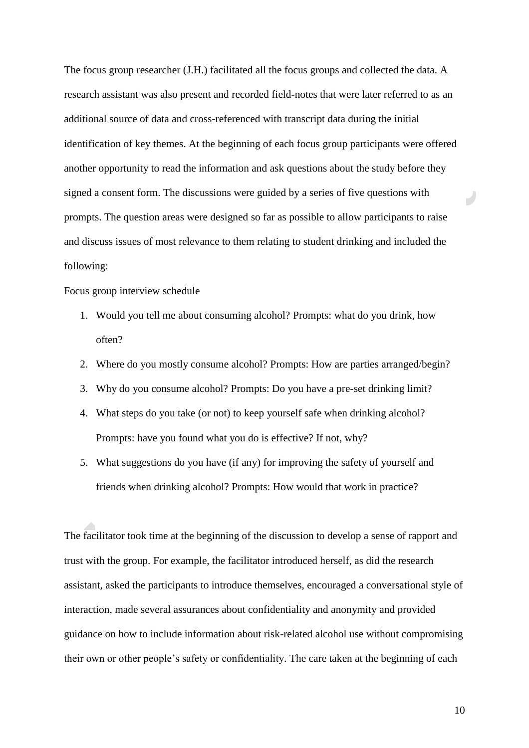The focus group researcher (J.H.) facilitated all the focus groups and collected the data. A research assistant was also present and recorded field-notes that were later referred to as an additional source of data and cross-referenced with transcript data during the initial identification of key themes. At the beginning of each focus group participants were offered another opportunity to read the information and ask questions about the study before they signed a consent form. The discussions were guided by a series of five questions with prompts. The question areas were designed so far as possible to allow participants to raise and discuss issues of most relevance to them relating to student drinking and included the following:

Focus group interview schedule

- 1. Would you tell me about consuming alcohol? Prompts: what do you drink, how often?
- 2. Where do you mostly consume alcohol? Prompts: How are parties arranged/begin?
- 3. Why do you consume alcohol? Prompts: Do you have a pre-set drinking limit?
- 4. What steps do you take (or not) to keep yourself safe when drinking alcohol? Prompts: have you found what you do is effective? If not, why?
- 5. What suggestions do you have (if any) for improving the safety of yourself and friends when drinking alcohol? Prompts: How would that work in practice?

The facilitator took time at the beginning of the discussion to develop a sense of rapport and trust with the group. For example, the facilitator introduced herself, as did the research assistant, asked the participants to introduce themselves, encouraged a conversational style of interaction, made several assurances about confidentiality and anonymity and provided guidance on how to include information about risk-related alcohol use without compromising their own or other people's safety or confidentiality. The care taken at the beginning of each

10

 $\overline{\phantom{a}}$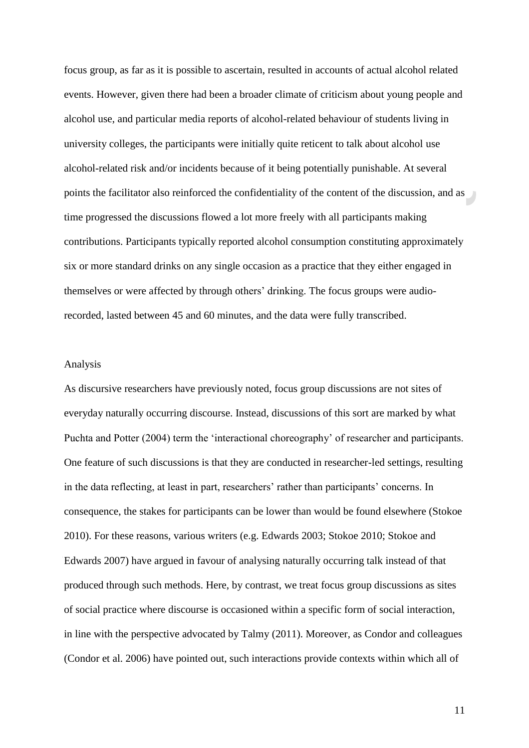focus group, as far as it is possible to ascertain, resulted in accounts of actual alcohol related events. However, given there had been a broader climate of criticism about young people and alcohol use, and particular media reports of alcohol-related behaviour of students living in university colleges, the participants were initially quite reticent to talk about alcohol use alcohol-related risk and/or incidents because of it being potentially punishable. At several points the facilitator also reinforced the confidentiality of the content of the discussion, and as time progressed the discussions flowed a lot more freely with all participants making contributions. Participants typically reported alcohol consumption constituting approximately six or more standard drinks on any single occasion as a practice that they either engaged in themselves or were affected by through others' drinking. The focus groups were audiorecorded, lasted between 45 and 60 minutes, and the data were fully transcribed.

## Analysis

As discursive researchers have previously noted, focus group discussions are not sites of everyday naturally occurring discourse. Instead, discussions of this sort are marked by what Puchta and Potter (2004) term the 'interactional choreography' of researcher and participants. One feature of such discussions is that they are conducted in researcher-led settings, resulting in the data reflecting, at least in part, researchers' rather than participants' concerns. In consequence, the stakes for participants can be lower than would be found elsewhere (Stokoe 2010). For these reasons, various writers (e.g. Edwards 2003; Stokoe 2010; Stokoe and Edwards 2007) have argued in favour of analysing naturally occurring talk instead of that produced through such methods. Here, by contrast, we treat focus group discussions as sites of social practice where discourse is occasioned within a specific form of social interaction, in line with the perspective advocated by Talmy (2011). Moreover, as Condor and colleagues (Condor et al. 2006) have pointed out, such interactions provide contexts within which all of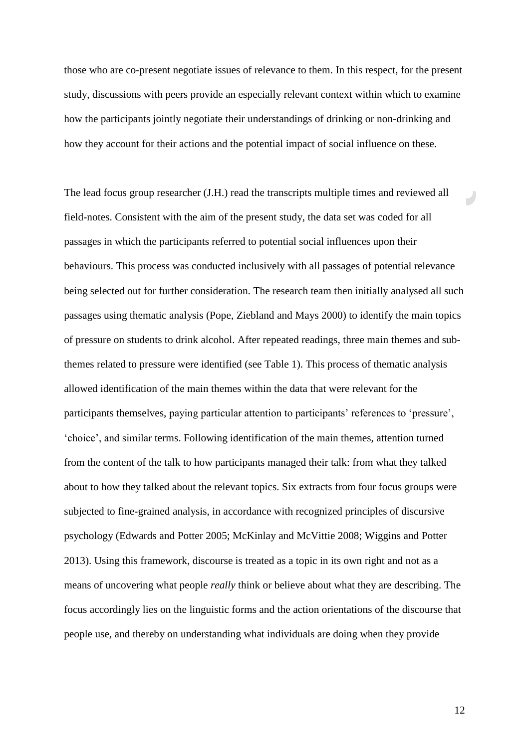those who are co-present negotiate issues of relevance to them. In this respect, for the present study, discussions with peers provide an especially relevant context within which to examine how the participants jointly negotiate their understandings of drinking or non-drinking and how they account for their actions and the potential impact of social influence on these.

The lead focus group researcher (J.H.) read the transcripts multiple times and reviewed all field-notes. Consistent with the aim of the present study, the data set was coded for all passages in which the participants referred to potential social influences upon their behaviours. This process was conducted inclusively with all passages of potential relevance being selected out for further consideration. The research team then initially analysed all such passages using thematic analysis (Pope, Ziebland and Mays 2000) to identify the main topics of pressure on students to drink alcohol. After repeated readings, three main themes and subthemes related to pressure were identified (see Table 1). This process of thematic analysis allowed identification of the main themes within the data that were relevant for the participants themselves, paying particular attention to participants' references to 'pressure', 'choice', and similar terms. Following identification of the main themes, attention turned from the content of the talk to how participants managed their talk: from what they talked about to how they talked about the relevant topics. Six extracts from four focus groups were subjected to fine-grained analysis, in accordance with recognized principles of discursive psychology (Edwards and Potter 2005; McKinlay and McVittie 2008; Wiggins and Potter 2013). Using this framework, discourse is treated as a topic in its own right and not as a means of uncovering what people *really* think or believe about what they are describing. The focus accordingly lies on the linguistic forms and the action orientations of the discourse that people use, and thereby on understanding what individuals are doing when they provide

12

E.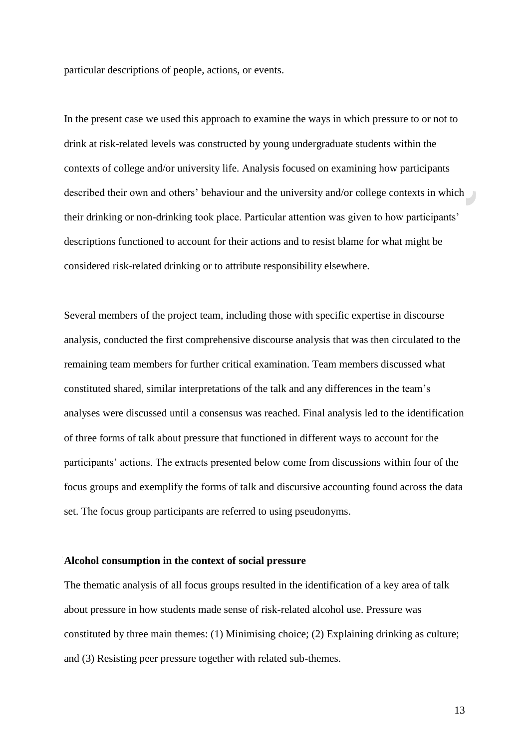particular descriptions of people, actions, or events.

In the present case we used this approach to examine the ways in which pressure to or not to drink at risk-related levels was constructed by young undergraduate students within the contexts of college and/or university life. Analysis focused on examining how participants described their own and others' behaviour and the university and/or college contexts in which their drinking or non-drinking took place. Particular attention was given to how participants' descriptions functioned to account for their actions and to resist blame for what might be considered risk-related drinking or to attribute responsibility elsewhere.

Several members of the project team, including those with specific expertise in discourse analysis, conducted the first comprehensive discourse analysis that was then circulated to the remaining team members for further critical examination. Team members discussed what constituted shared, similar interpretations of the talk and any differences in the team's analyses were discussed until a consensus was reached. Final analysis led to the identification of three forms of talk about pressure that functioned in different ways to account for the participants' actions. The extracts presented below come from discussions within four of the focus groups and exemplify the forms of talk and discursive accounting found across the data set. The focus group participants are referred to using pseudonyms.

### **Alcohol consumption in the context of social pressure**

The thematic analysis of all focus groups resulted in the identification of a key area of talk about pressure in how students made sense of risk-related alcohol use. Pressure was constituted by three main themes: (1) Minimising choice; (2) Explaining drinking as culture; and (3) Resisting peer pressure together with related sub-themes.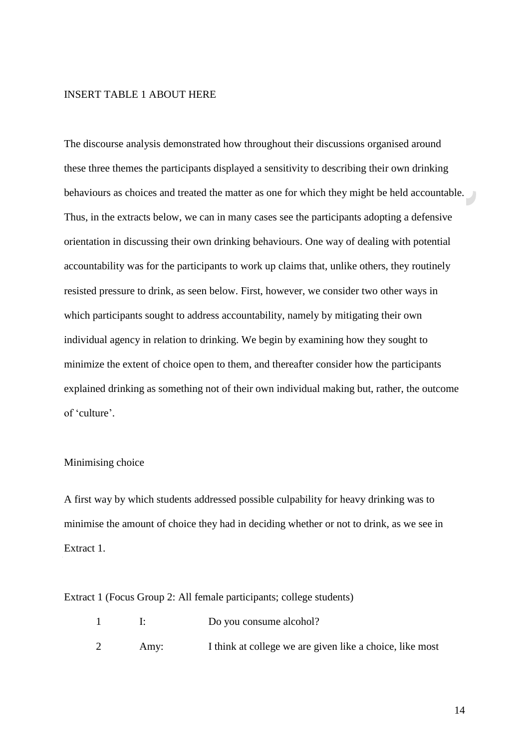# INSERT TABLE 1 ABOUT HERE

The discourse analysis demonstrated how throughout their discussions organised around these three themes the participants displayed a sensitivity to describing their own drinking behaviours as choices and treated the matter as one for which they might be held accountable. Thus, in the extracts below, we can in many cases see the participants adopting a defensive orientation in discussing their own drinking behaviours. One way of dealing with potential accountability was for the participants to work up claims that, unlike others, they routinely resisted pressure to drink, as seen below. First, however, we consider two other ways in which participants sought to address accountability, namely by mitigating their own individual agency in relation to drinking. We begin by examining how they sought to minimize the extent of choice open to them, and thereafter consider how the participants explained drinking as something not of their own individual making but, rather, the outcome of 'culture'.

# Minimising choice

A first way by which students addressed possible culpability for heavy drinking was to minimise the amount of choice they had in deciding whether or not to drink, as we see in Extract 1.

Extract 1 (Focus Group 2: All female participants; college students)

|      | Do you consume alcohol?                                  |
|------|----------------------------------------------------------|
| Amy: | I think at college we are given like a choice, like most |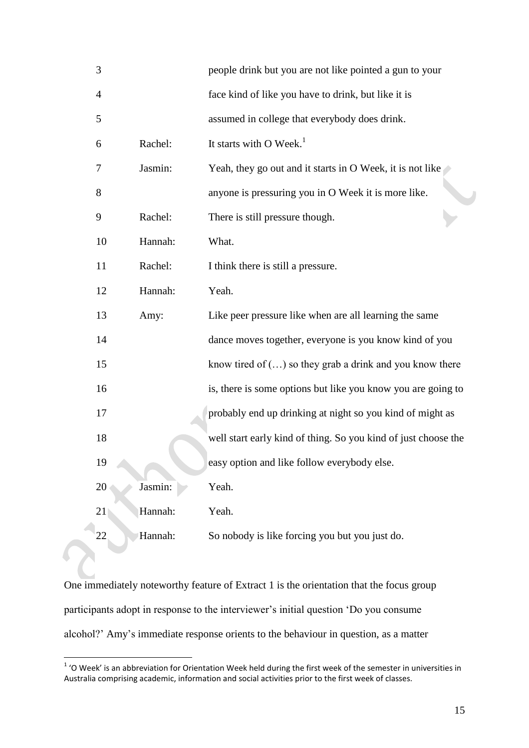| 3  |         | people drink but you are not like pointed a gun to your        |
|----|---------|----------------------------------------------------------------|
| 4  |         | face kind of like you have to drink, but like it is            |
| 5  |         | assumed in college that everybody does drink.                  |
| 6  | Rachel: | It starts with O Week. <sup>1</sup>                            |
| 7  | Jasmin: | Yeah, they go out and it starts in O Week, it is not like      |
| 8  |         | anyone is pressuring you in O Week it is more like.            |
| 9  | Rachel: | There is still pressure though.                                |
| 10 | Hannah: | What.                                                          |
| 11 | Rachel: | I think there is still a pressure.                             |
| 12 | Hannah: | Yeah.                                                          |
| 13 | Amy:    | Like peer pressure like when are all learning the same         |
| 14 |         | dance moves together, everyone is you know kind of you         |
| 15 |         | know tired of $()$ so they grab a drink and you know there     |
| 16 |         | is, there is some options but like you know you are going to   |
| 17 |         | probably end up drinking at night so you kind of might as      |
| 18 |         | well start early kind of thing. So you kind of just choose the |
| 19 |         | easy option and like follow everybody else.                    |
| 20 | Jasmin: | Yeah.                                                          |
| 21 | Hannah: | Yeah.                                                          |
| 22 | Hannah: | So nobody is like forcing you but you just do.                 |

One immediately noteworthy feature of Extract 1 is the orientation that the focus group participants adopt in response to the interviewer's initial question 'Do you consume alcohol?' Amy's immediate response orients to the behaviour in question, as a matter

 1 'O Week' is an abbreviation for Orientation Week held during the first week of the semester in universities in Australia comprising academic, information and social activities prior to the first week of classes.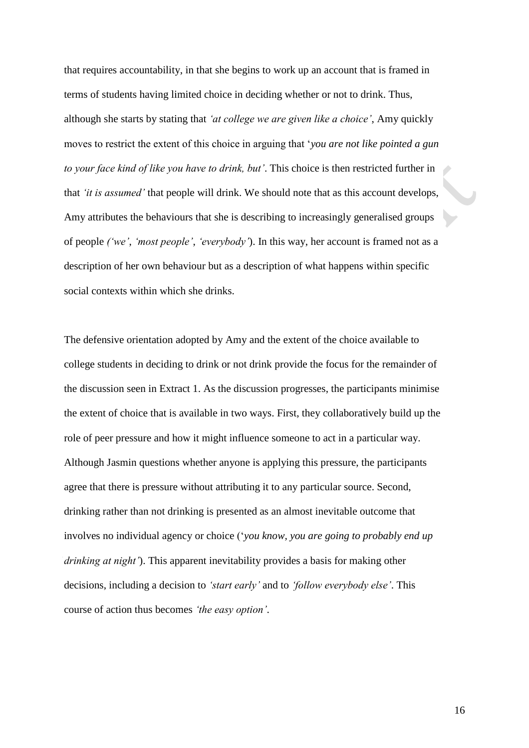that requires accountability, in that she begins to work up an account that is framed in terms of students having limited choice in deciding whether or not to drink. Thus, although she starts by stating that *'at college we are given like a choice'*, Amy quickly moves to restrict the extent of this choice in arguing that '*you are not like pointed a gun to your face kind of like you have to drink, but'*. This choice is then restricted further in that *'it is assumed'* that people will drink. We should note that as this account develops, Amy attributes the behaviours that she is describing to increasingly generalised groups of people *('we'*, *'most people'*, *'everybody'*). In this way, her account is framed not as a description of her own behaviour but as a description of what happens within specific social contexts within which she drinks.

The defensive orientation adopted by Amy and the extent of the choice available to college students in deciding to drink or not drink provide the focus for the remainder of the discussion seen in Extract 1. As the discussion progresses, the participants minimise the extent of choice that is available in two ways. First, they collaboratively build up the role of peer pressure and how it might influence someone to act in a particular way. Although Jasmin questions whether anyone is applying this pressure, the participants agree that there is pressure without attributing it to any particular source. Second, drinking rather than not drinking is presented as an almost inevitable outcome that involves no individual agency or choice ('*you know, you are going to probably end up drinking at night'*). This apparent inevitability provides a basis for making other decisions, including a decision to *'start early'* and to *'follow everybody else'*. This course of action thus becomes *'the easy option'*.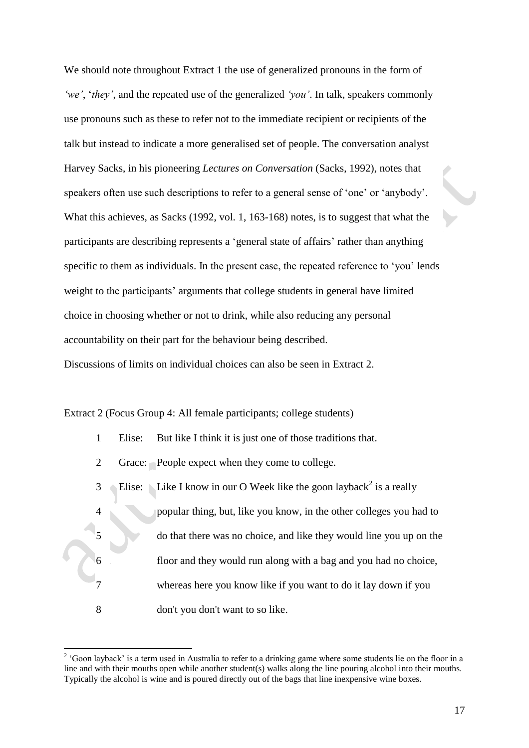We should note throughout Extract 1 the use of generalized pronouns in the form of *'we'*, '*they'*, and the repeated use of the generalized *'you'*. In talk, speakers commonly use pronouns such as these to refer not to the immediate recipient or recipients of the talk but instead to indicate a more generalised set of people. The conversation analyst Harvey Sacks, in his pioneering *Lectures on Conversation* (Sacks, 1992), notes that speakers often use such descriptions to refer to a general sense of 'one' or 'anybody'. What this achieves, as Sacks (1992, vol. 1, 163-168) notes, is to suggest that what the participants are describing represents a 'general state of affairs' rather than anything specific to them as individuals. In the present case, the repeated reference to 'you' lends weight to the participants' arguments that college students in general have limited choice in choosing whether or not to drink, while also reducing any personal accountability on their part for the behaviour being described.

Discussions of limits on individual choices can also be seen in Extract 2.

Extract 2 (Focus Group 4: All female participants; college students)

- 1 Elise: But like I think it is just one of those traditions that.
- 2 Grace: People expect when they come to college.

 $\overline{a}$ 

3 4 5 6 7 8 Elise: Like I know in our O Week like the goon layback<sup>2</sup> is a really popular thing, but, like you know, in the other colleges you had to do that there was no choice, and like they would line you up on the floor and they would run along with a bag and you had no choice, whereas here you know like if you want to do it lay down if you don't you don't want to so like.

<sup>&</sup>lt;sup>2</sup> 'Goon layback' is a term used in Australia to refer to a drinking game where some students lie on the floor in a line and with their mouths open while another student(s) walks along the line pouring alcohol into their mouths. Typically the alcohol is wine and is poured directly out of the bags that line inexpensive wine boxes.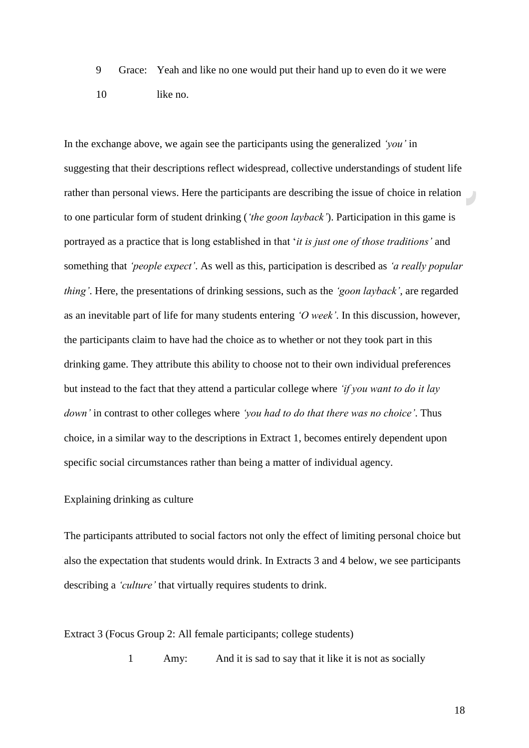9 10 Grace: Yeah and like no one would put their hand up to even do it we were like no.

In the exchange above, we again see the participants using the generalized *'you'* in suggesting that their descriptions reflect widespread, collective understandings of student life rather than personal views. Here the participants are describing the issue of choice in relation to one particular form of student drinking (*'the goon layback'*). Participation in this game is portrayed as a practice that is long established in that '*it is just one of those traditions'* and something that *'people expect'*. As well as this, participation is described as *'a really popular thing'*. Here, the presentations of drinking sessions, such as the *'goon layback'*, are regarded as an inevitable part of life for many students entering *'O week'*. In this discussion, however, the participants claim to have had the choice as to whether or not they took part in this drinking game. They attribute this ability to choose not to their own individual preferences but instead to the fact that they attend a particular college where *'if you want to do it lay down'* in contrast to other colleges where *'you had to do that there was no choice'*. Thus choice, in a similar way to the descriptions in Extract 1, becomes entirely dependent upon specific social circumstances rather than being a matter of individual agency.

# Explaining drinking as culture

The participants attributed to social factors not only the effect of limiting personal choice but also the expectation that students would drink. In Extracts 3 and 4 below, we see participants describing a *'culture'* that virtually requires students to drink.

## Extract 3 (Focus Group 2: All female participants; college students)

1 Amy: And it is sad to say that it like it is not as socially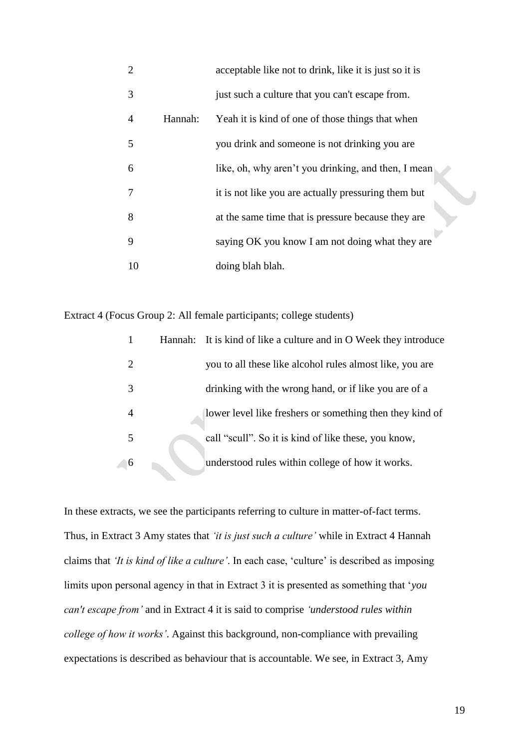| $\overline{2}$ |         | acceptable like not to drink, like it is just so it is |
|----------------|---------|--------------------------------------------------------|
| 3              |         | just such a culture that you can't escape from.        |
| $\overline{4}$ | Hannah: | Yeah it is kind of one of those things that when       |
| 5              |         | you drink and someone is not drinking you are          |
| 6              |         | like, oh, why aren't you drinking, and then, I mean    |
| 7              |         | it is not like you are actually pressuring them but    |
| 8              |         | at the same time that is pressure because they are     |
| 9              |         | saying OK you know I am not doing what they are        |
| 10             |         | doing blah blah.                                       |

Extract 4 (Focus Group 2: All female participants; college students)

| 1                           | Hannah: It is kind of like a culture and in O Week they introduce |
|-----------------------------|-------------------------------------------------------------------|
| $\mathcal{D}_{\mathcal{L}}$ | you to all these like alcohol rules almost like, you are          |
| 3                           | drinking with the wrong hand, or if like you are of a             |
| 4                           | lower level like freshers or something then they kind of          |
| 5                           | call "scull". So it is kind of like these, you know,              |
| 6                           | understood rules within college of how it works.                  |

In these extracts, we see the participants referring to culture in matter-of-fact terms. Thus, in Extract 3 Amy states that *'it is just such a culture'* while in Extract 4 Hannah claims that *'It is kind of like a culture'*. In each case, 'culture' is described as imposing limits upon personal agency in that in Extract 3 it is presented as something that '*you can't escape from'* and in Extract 4 it is said to comprise *'understood rules within college of how it works'*. Against this background, non-compliance with prevailing expectations is described as behaviour that is accountable. We see, in Extract 3, Amy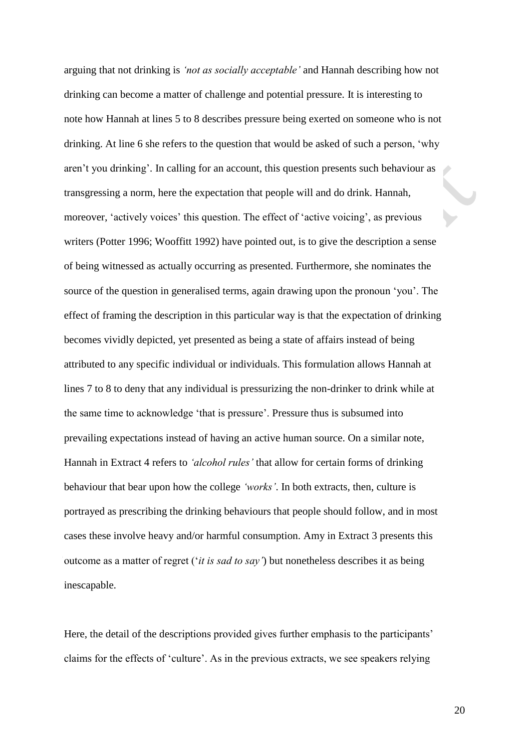arguing that not drinking is *'not as socially acceptable'* and Hannah describing how not drinking can become a matter of challenge and potential pressure. It is interesting to note how Hannah at lines 5 to 8 describes pressure being exerted on someone who is not drinking. At line 6 she refers to the question that would be asked of such a person, 'why aren't you drinking'. In calling for an account, this question presents such behaviour as transgressing a norm, here the expectation that people will and do drink. Hannah, moreover, 'actively voices' this question. The effect of 'active voicing', as previous writers (Potter 1996; Wooffitt 1992) have pointed out, is to give the description a sense of being witnessed as actually occurring as presented. Furthermore, she nominates the source of the question in generalised terms, again drawing upon the pronoun 'you'. The effect of framing the description in this particular way is that the expectation of drinking becomes vividly depicted, yet presented as being a state of affairs instead of being attributed to any specific individual or individuals. This formulation allows Hannah at lines 7 to 8 to deny that any individual is pressurizing the non-drinker to drink while at the same time to acknowledge 'that is pressure'. Pressure thus is subsumed into prevailing expectations instead of having an active human source. On a similar note, Hannah in Extract 4 refers to *'alcohol rules'* that allow for certain forms of drinking behaviour that bear upon how the college *'works'*. In both extracts, then, culture is portrayed as prescribing the drinking behaviours that people should follow, and in most cases these involve heavy and/or harmful consumption. Amy in Extract 3 presents this outcome as a matter of regret ('*it is sad to say'*) but nonetheless describes it as being inescapable.

Here, the detail of the descriptions provided gives further emphasis to the participants' claims for the effects of 'culture'. As in the previous extracts, we see speakers relying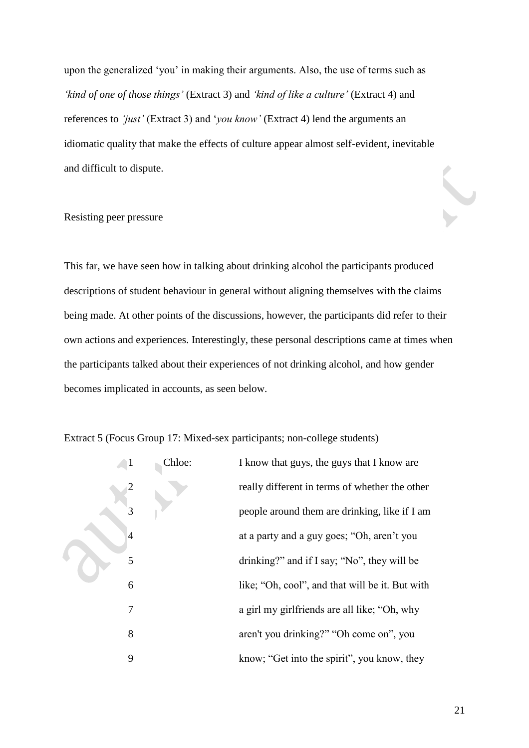upon the generalized 'you' in making their arguments. Also, the use of terms such as *'kind of one of those things'* (Extract 3) and *'kind of like a culture'* (Extract 4) and references to *'just'* (Extract 3) and '*you know'* (Extract 4) lend the arguments an idiomatic quality that make the effects of culture appear almost self-evident, inevitable and difficult to dispute.

### Resisting peer pressure

This far, we have seen how in talking about drinking alcohol the participants produced descriptions of student behaviour in general without aligning themselves with the claims being made. At other points of the discussions, however, the participants did refer to their own actions and experiences. Interestingly, these personal descriptions came at times when the participants talked about their experiences of not drinking alcohol, and how gender becomes implicated in accounts, as seen below.

Extract 5 (Focus Group 17: Mixed-sex participants; non-college students)

|  |   | Chloe: | I know that guys, the guys that I know are      |
|--|---|--------|-------------------------------------------------|
|  |   |        | really different in terms of whether the other  |
|  | 3 |        | people around them are drinking, like if I am   |
|  | 4 |        | at a party and a guy goes; "Oh, aren't you      |
|  | 5 |        | drinking?" and if I say; "No", they will be     |
|  | 6 |        | like; "Oh, cool", and that will be it. But with |
|  | 7 |        | a girl my girlfriends are all like; "Oh, why    |
|  | 8 |        | aren't you drinking?" "Oh come on", you         |
|  | 9 |        | know; "Get into the spirit", you know, they     |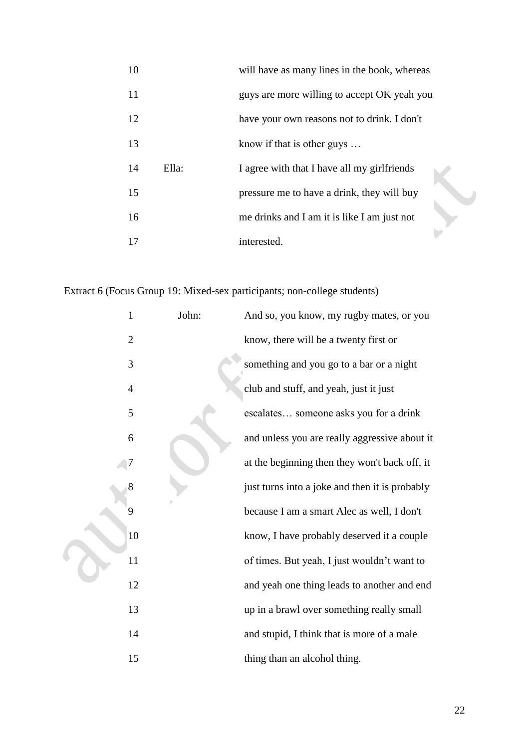| 10 |       | will have as many lines in the book, whereas |  |
|----|-------|----------------------------------------------|--|
| 11 |       | guys are more willing to accept OK yeah you  |  |
| 12 |       | have your own reasons not to drink. I don't  |  |
| 13 |       | know if that is other guys $\dots$           |  |
| 14 | Ella: | I agree with that I have all my girlfriends  |  |
| 15 |       | pressure me to have a drink, they will buy   |  |
| 16 |       | me drinks and I am it is like I am just not  |  |
| 17 |       | interested.                                  |  |

Extract 6 (Focus Group 19: Mixed-sex participants; non-college students)

| $\mathbf{1}$   | John: | And so, you know, my rugby mates, or you       |
|----------------|-------|------------------------------------------------|
| $\overline{2}$ |       | know, there will be a twenty first or          |
| 3              |       | something and you go to a bar or a night       |
| $\overline{4}$ |       | club and stuff, and yeah, just it just         |
| 5              |       | escalates someone asks you for a drink         |
| 6              |       | and unless you are really aggressive about it  |
| 7              |       | at the beginning then they won't back off, it  |
| 8              |       | just turns into a joke and then it is probably |
| 9              |       | because I am a smart Alec as well, I don't     |
| 10             |       | know, I have probably deserved it a couple     |
| 11             |       | of times. But yeah, I just wouldn't want to    |
| 12             |       | and yeah one thing leads to another and end    |
| 13             |       | up in a brawl over something really small      |
| 14             |       | and stupid, I think that is more of a male     |
| 15             |       | thing than an alcohol thing.                   |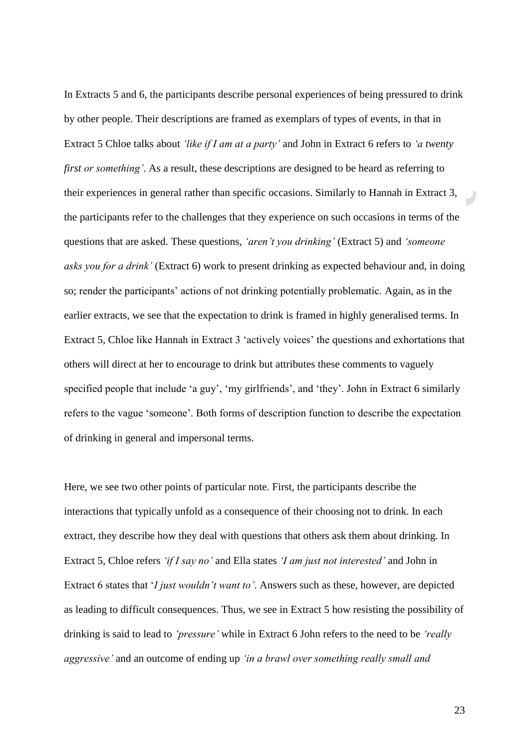In Extracts 5 and 6, the participants describe personal experiences of being pressured to drink by other people. Their descriptions are framed as exemplars of types of events, in that in Extract 5 Chloe talks about *'like if I am at a party'* and John in Extract 6 refers to *'a twenty first or something'*. As a result, these descriptions are designed to be heard as referring to their experiences in general rather than specific occasions. Similarly to Hannah in Extract 3, the participants refer to the challenges that they experience on such occasions in terms of the questions that are asked. These questions, *'aren't you drinking'* (Extract 5) and *'someone asks you for a drink'* (Extract 6) work to present drinking as expected behaviour and, in doing so; render the participants' actions of not drinking potentially problematic. Again, as in the earlier extracts, we see that the expectation to drink is framed in highly generalised terms. In Extract 5, Chloe like Hannah in Extract 3 'actively voices' the questions and exhortations that others will direct at her to encourage to drink but attributes these comments to vaguely specified people that include 'a guy', 'my girlfriends', and 'they'. John in Extract 6 similarly refers to the vague 'someone'. Both forms of description function to describe the expectation of drinking in general and impersonal terms.

Here, we see two other points of particular note. First, the participants describe the interactions that typically unfold as a consequence of their choosing not to drink. In each extract, they describe how they deal with questions that others ask them about drinking. In Extract 5, Chloe refers *'if I say no'* and Ella states *'I am just not interested'* and John in Extract 6 states that '*I just wouldn't want to'*. Answers such as these, however, are depicted as leading to difficult consequences. Thus, we see in Extract 5 how resisting the possibility of drinking is said to lead to *'pressure'* while in Extract 6 John refers to the need to be *'really aggressive'* and an outcome of ending up *'in a brawl over something really small and*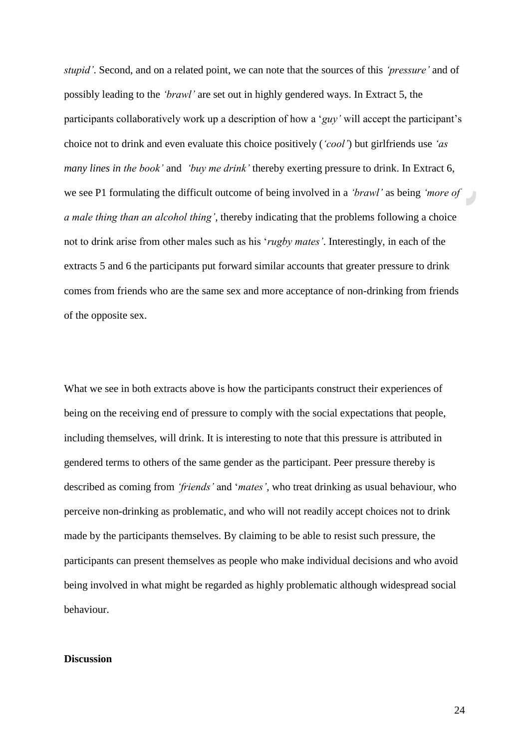*stupid'*. Second, and on a related point, we can note that the sources of this *'pressure'* and of possibly leading to the *'brawl'* are set out in highly gendered ways. In Extract 5, the participants collaboratively work up a description of how a '*guy'* will accept the participant's choice not to drink and even evaluate this choice positively (*'cool'*) but girlfriends use *'as many lines in the book'* and *'buy me drink'* thereby exerting pressure to drink. In Extract 6, we see P1 formulating the difficult outcome of being involved in a *'brawl'* as being *'more of a male thing than an alcohol thing'*, thereby indicating that the problems following a choice not to drink arise from other males such as his '*rugby mates'*. Interestingly, in each of the extracts 5 and 6 the participants put forward similar accounts that greater pressure to drink comes from friends who are the same sex and more acceptance of non-drinking from friends of the opposite sex.

What we see in both extracts above is how the participants construct their experiences of being on the receiving end of pressure to comply with the social expectations that people, including themselves, will drink. It is interesting to note that this pressure is attributed in gendered terms to others of the same gender as the participant. Peer pressure thereby is described as coming from *'friends'* and '*mates'*, who treat drinking as usual behaviour, who perceive non-drinking as problematic, and who will not readily accept choices not to drink made by the participants themselves. By claiming to be able to resist such pressure, the participants can present themselves as people who make individual decisions and who avoid being involved in what might be regarded as highly problematic although widespread social behaviour.

# **Discussion**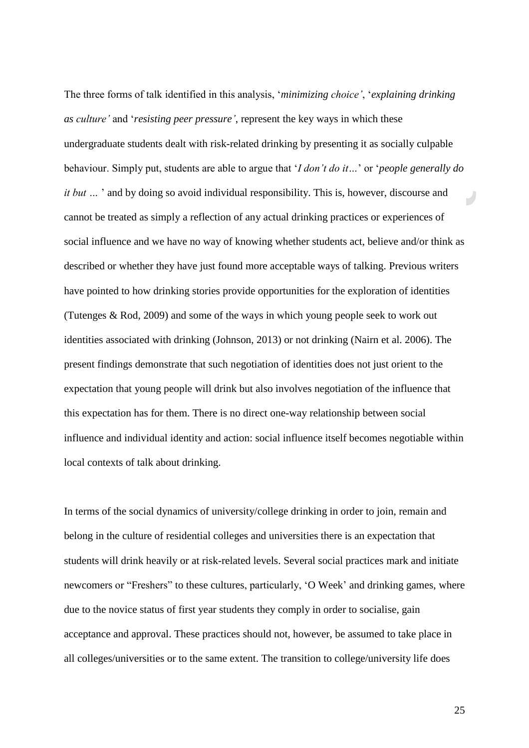The three forms of talk identified in this analysis, '*minimizing choice'*, '*explaining drinking as culture'* and '*resisting peer pressure'*, represent the key ways in which these undergraduate students dealt with risk-related drinking by presenting it as socially culpable behaviour. Simply put, students are able to argue that '*I don't do it…*' or '*people generally do it but* ... ' and by doing so avoid individual responsibility. This is, however, discourse and cannot be treated as simply a reflection of any actual drinking practices or experiences of social influence and we have no way of knowing whether students act, believe and/or think as described or whether they have just found more acceptable ways of talking. Previous writers have pointed to how drinking stories provide opportunities for the exploration of identities (Tutenges & Rod, 2009) and some of the ways in which young people seek to work out identities associated with drinking (Johnson, 2013) or not drinking (Nairn et al. 2006). The present findings demonstrate that such negotiation of identities does not just orient to the expectation that young people will drink but also involves negotiation of the influence that this expectation has for them. There is no direct one-way relationship between social influence and individual identity and action: social influence itself becomes negotiable within local contexts of talk about drinking.

In terms of the social dynamics of university/college drinking in order to join, remain and belong in the culture of residential colleges and universities there is an expectation that students will drink heavily or at risk-related levels. Several social practices mark and initiate newcomers or "Freshers" to these cultures, particularly, 'O Week' and drinking games, where due to the novice status of first year students they comply in order to socialise, gain acceptance and approval. These practices should not, however, be assumed to take place in all colleges/universities or to the same extent. The transition to college/university life does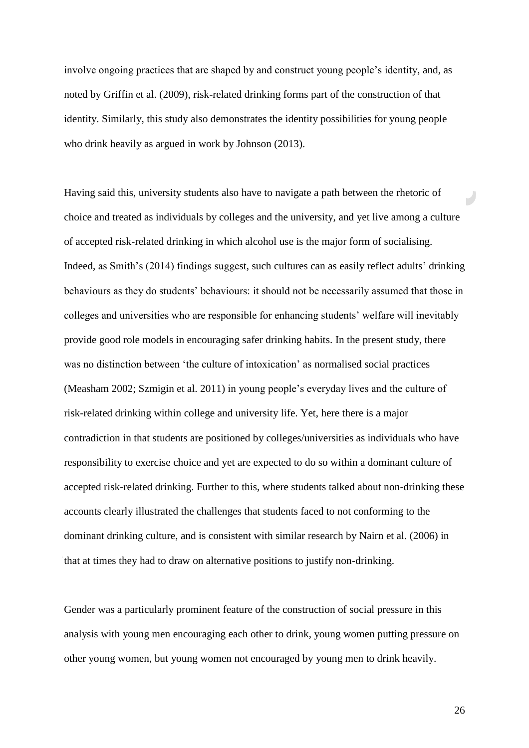involve ongoing practices that are shaped by and construct young people's identity, and, as noted by Griffin et al. (2009), risk-related drinking forms part of the construction of that identity. Similarly, this study also demonstrates the identity possibilities for young people who drink heavily as argued in work by Johnson  $(2013)$ .

Having said this, university students also have to navigate a path between the rhetoric of choice and treated as individuals by colleges and the university, and yet live among a culture of accepted risk-related drinking in which alcohol use is the major form of socialising. Indeed, as Smith's (2014) findings suggest, such cultures can as easily reflect adults' drinking behaviours as they do students' behaviours: it should not be necessarily assumed that those in colleges and universities who are responsible for enhancing students' welfare will inevitably provide good role models in encouraging safer drinking habits. In the present study, there was no distinction between 'the culture of intoxication' as normalised social practices [\(Measham 2002;](#page-30-0) [Szmigin et al. 2011\)](#page-32-0) in young people's everyday lives and the culture of risk-related drinking within college and university life. Yet, here there is a major contradiction in that students are positioned by colleges/universities as individuals who have responsibility to exercise choice and yet are expected to do so within a dominant culture of accepted risk-related drinking. Further to this, where students talked about non-drinking these accounts clearly illustrated the challenges that students faced to not conforming to the dominant drinking culture, and is consistent with similar research by Nairn et al. (2006) in that at times they had to draw on alternative positions to justify non-drinking.

Gender was a particularly prominent feature of the construction of social pressure in this analysis with young men encouraging each other to drink, young women putting pressure on other young women, but young women not encouraged by young men to drink heavily.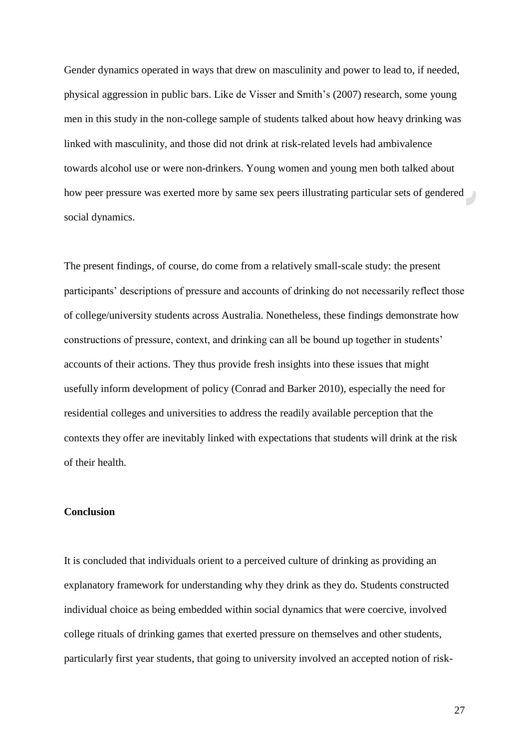Gender dynamics operated in ways that drew on masculinity and power to lead to, if needed, physical aggression in public bars. Like de Visser and Smith's (2007) research, some young men in this study in the non-college sample of students talked about how heavy drinking was linked with masculinity, and those did not drink at risk-related levels had ambivalence towards alcohol use or were non-drinkers. Young women and young men both talked about how peer pressure was exerted more by same sex peers illustrating particular sets of gendered social dynamics.

The present findings, of course, do come from a relatively small-scale study: the present participants' descriptions of pressure and accounts of drinking do not necessarily reflect those of college/university students across Australia. Nonetheless, these findings demonstrate how constructions of pressure, context, and drinking can all be bound up together in students' accounts of their actions. They thus provide fresh insights into these issues that might usefully inform development of policy (Conrad and [Barker 2010\)](#page-28-1), especially the need for residential colleges and universities to address the readily available perception that the contexts they offer are inevitably linked with expectations that students will drink at the risk of their health.

### **Conclusion**

It is concluded that individuals orient to a perceived culture of drinking as providing an explanatory framework for understanding why they drink as they do. Students constructed individual choice as being embedded within social dynamics that were coercive, involved college rituals of drinking games that exerted pressure on themselves and other students, particularly first year students, that going to university involved an accepted notion of risk-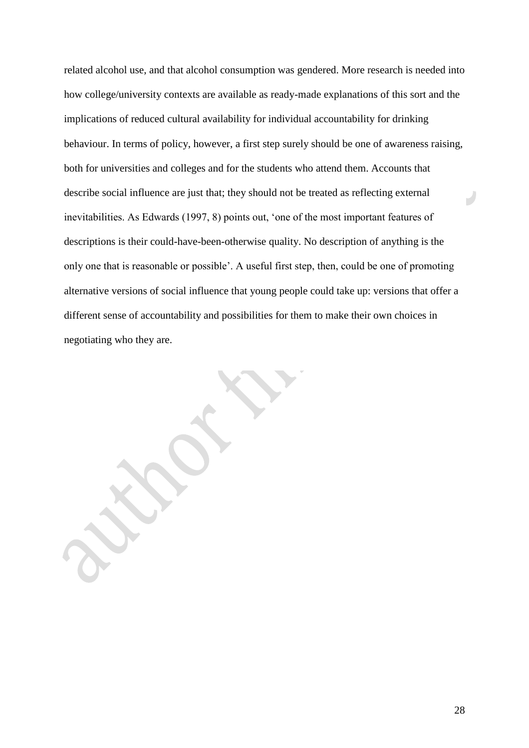related alcohol use, and that alcohol consumption was gendered. More research is needed into how college/university contexts are available as ready-made explanations of this sort and the implications of reduced cultural availability for individual accountability for drinking behaviour. In terms of policy, however, a first step surely should be one of awareness raising, both for universities and colleges and for the students who attend them. Accounts that describe social influence are just that; they should not be treated as reflecting external  $\overline{U}$ inevitabilities. As Edwards (1997, 8) points out, 'one of the most important features of descriptions is their could-have-been-otherwise quality. No description of anything is the only one that is reasonable or possible'. A useful first step, then, could be one of promoting alternative versions of social influence that young people could take up: versions that offer a different sense of accountability and possibilities for them to make their own choices in negotiating who they are.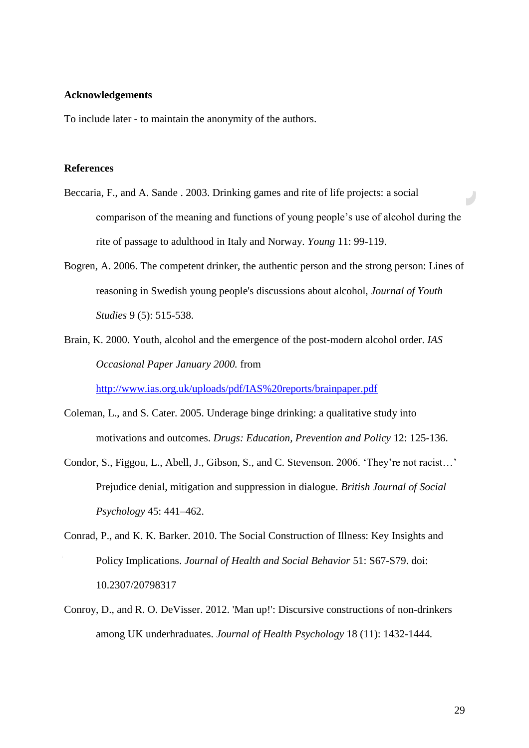#### **Acknowledgements**

To include later - to maintain the anonymity of the authors.

### **References**

- Beccaria, F., and A. Sande . 2003. Drinking games and rite of life projects: a social comparison of the meaning and functions of young people's use of alcohol during the rite of passage to adulthood in Italy and Norway. *Young* 11: 99-119.
- Bogren, A. 2006. The competent drinker, the authentic person and the strong person: Lines of reasoning in Swedish young people's discussions about alcohol, *Journal of Youth Studies* 9 (5): 515-538.
- <span id="page-28-0"></span>Brain, K. 2000. Youth, alcohol and the emergence of the post-modern alcohol order. *IAS Occasional Paper January 2000.* from

<span id="page-28-1"></span><http://www.ias.org.uk/uploads/pdf/IAS%20reports/brainpaper.pdf>

- Coleman, L., and S. Cater. 2005. Underage binge drinking: a qualitative study into motivations and outcomes. *Drugs: Education, Prevention and Policy* 12: 125-136.
- Condor, S., Figgou, L., Abell, J., Gibson, S., and C. Stevenson. 2006. 'They're not racist…' Prejudice denial, mitigation and suppression in dialogue. *British Journal of Social Psychology* 45: 441–462.
- Conrad, P., and K. K. Barker. 2010. The Social Construction of Illness: Key Insights and Policy Implications. *Journal of Health and Social Behavior* 51: S67-S79. doi: 10.2307/20798317
- Conroy, D., and R. O. DeVisser. 2012. 'Man up!': Discursive constructions of non-drinkers among UK underhraduates. *Journal of Health Psychology* 18 (11): 1432-1444.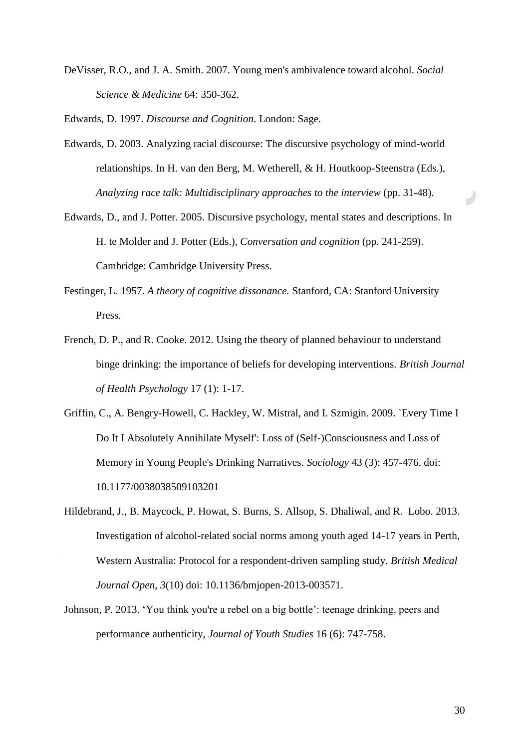DeVisser, R.O., and J. A. Smith. 2007. Young men's ambivalence toward alcohol. *Social Science & Medicine* 64: 350-362.

Edwards, D. 1997. *Discourse and Cognition*. London: Sage.

- Edwards, D. 2003. Analyzing racial discourse: The discursive psychology of mind-world relationships. In H. van den Berg, M. Wetherell, & H. Houtkoop-Steenstra (Eds.), *Analyzing race talk: Multidisciplinary approaches to the interview* (pp. 31-48).
- Edwards, D., and J. Potter. 2005. Discursive psychology, mental states and descriptions. In H. te Molder and J. Potter (Eds.), *Conversation and cognition* (pp. 241-259). Cambridge: Cambridge University Press.
- Festinger, L. 1957. *A theory of cognitive dissonance.* Stanford, CA: Stanford University Press.
- French, D. P., and R. Cooke. 2012. Using the theory of planned behaviour to understand binge drinking: the importance of beliefs for developing interventions. *British Journal of Health Psychology* 17 (1): 1-17.
- <span id="page-29-0"></span>Griffin, C., A. Bengry-Howell, C. Hackley, W. Mistral, and I. Szmigin. 2009. `Every Time I Do It I Absolutely Annihilate Myself': Loss of (Self-)Consciousness and Loss of Memory in Young People's Drinking Narratives. *Sociology* 43 (3): 457-476. doi: 10.1177/0038038509103201
- Hildebrand, J., B. Maycock, P. Howat, S. Burns, S. Allsop, S. Dhaliwal, and R. Lobo. 2013. Investigation of alcohol-related social norms among youth aged 14-17 years in Perth, Western Australia: Protocol for a respondent-driven sampling study. *British Medical Journal Open*, *3*(10) doi: 10.1136/bmjopen-2013-003571.
- Johnson, P. 2013. 'You think you're a rebel on a big bottle': teenage drinking, peers and performance authenticity, *Journal of Youth Studies* 16 (6): 747-758.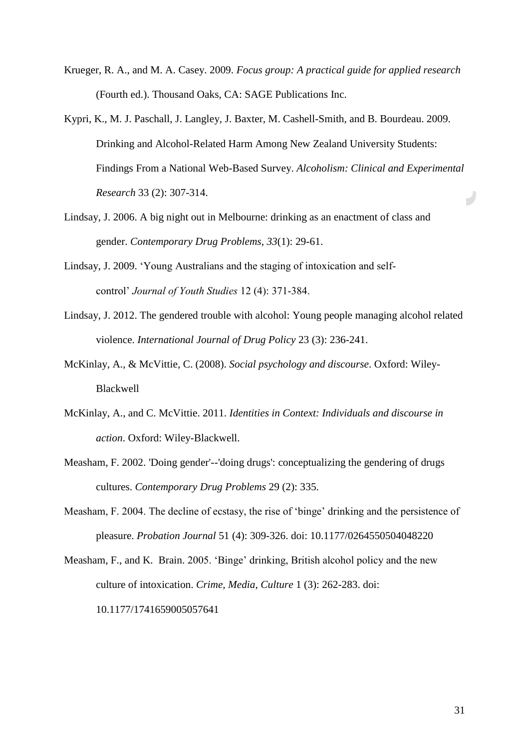- <span id="page-30-4"></span>Krueger, R. A., and M. A. Casey. 2009. *Focus group: A practical guide for applied research* (Fourth ed.). Thousand Oaks, CA: SAGE Publications Inc.
- <span id="page-30-3"></span>Kypri, K., M. J. Paschall, J. Langley, J. Baxter, M. Cashell-Smith, and B. Bourdeau. 2009. Drinking and Alcohol-Related Harm Among New Zealand University Students: Findings From a National Web-Based Survey. *Alcoholism: Clinical and Experimental Research* 33 (2): 307-314.  $\overline{\mathcal{P}}$
- <span id="page-30-5"></span>Lindsay, J. 2006. A big night out in Melbourne: drinking as an enactment of class and gender. *Contemporary Drug Problems*, *33*(1): 29-61.
- Lindsay, J. 2009. 'Young Australians and the staging of intoxication and selfcontrol' *Journal of Youth Studies* 12 (4): 371-384.
- Lindsay, J. 2012. The gendered trouble with alcohol: Young people managing alcohol related violence. *International Journal of Drug Policy* 23 (3): 236-241.
- <span id="page-30-0"></span>McKinlay, A., & McVittie, C. (2008). *Social psychology and discourse*. Oxford: Wiley-Blackwell
- McKinlay, A., and C. McVittie. 2011. *Identities in Context: Individuals and discourse in action*. Oxford: Wiley-Blackwell.
- Measham, F. 2002. 'Doing gender'--'doing drugs': conceptualizing the gendering of drugs cultures. *Contemporary Drug Problems* 29 (2): 335.
- <span id="page-30-1"></span>Measham, F. 2004. The decline of ecstasy, the rise of 'binge' drinking and the persistence of pleasure. *Probation Journal* 51 (4): 309-326. doi: 10.1177/0264550504048220
- <span id="page-30-2"></span>Measham, F., and K. Brain. 2005. 'Binge' drinking, British alcohol policy and the new culture of intoxication. *Crime, Media, Culture* 1 (3): 262-283. doi: 10.1177/1741659005057641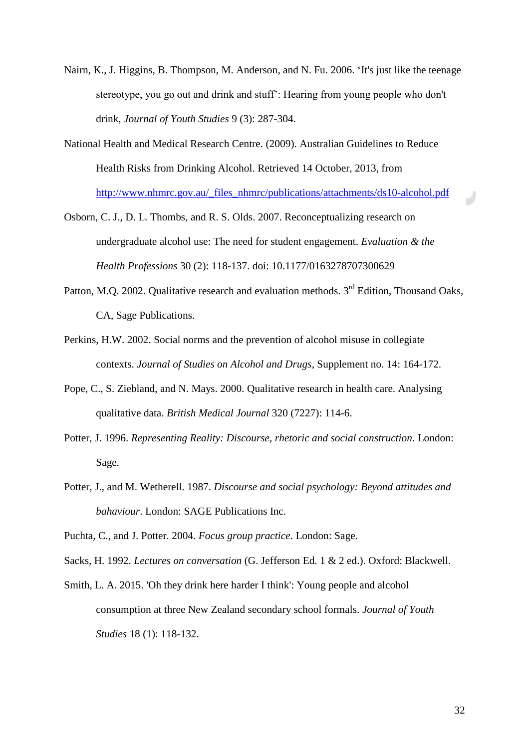- Nairn, K., J. Higgins, B. Thompson, M. Anderson, and N. Fu. 2006. 'It's just like the teenage stereotype, you go out and drink and stuff': Hearing from young people who don't drink, *Journal of Youth Studies* 9 (3): 287-304.
- National Health and Medical Research Centre. (2009). Australian Guidelines to Reduce Health Risks from Drinking Alcohol. Retrieved 14 October, 2013, from [http://www.nhmrc.gov.au/\\_files\\_nhmrc/publications/attachments/ds10-alcohol.pdf](http://www.nhmrc.gov.au/_files_nhmrc/publications/attachments/ds10-alcohol.pdf)
- <span id="page-31-0"></span>Osborn, C. J., D. L. Thombs, and R. S. Olds. 2007. Reconceptualizing research on undergraduate alcohol use: The need for student engagement. *Evaluation & the Health Professions* 30 (2): 118-137. doi: 10.1177/0163278707300629
- <span id="page-31-1"></span>Patton, M.Q. 2002. Qualitative research and evaluation methods. 3<sup>rd</sup> Edition, Thousand Oaks, CA, Sage Publications.
- Perkins, H.W. 2002. Social norms and the prevention of alcohol misuse in collegiate contexts. *Journal of Studies on Alcohol and Drugs*, Supplement no. 14: 164-172.
- Pope, C., S. Ziebland, and N. Mays. 2000. Qualitative research in health care. Analysing qualitative data. *British Medical Journal* 320 (7227): 114-6.
- Potter, J. 1996. *Representing Reality: Discourse, rhetoric and social construction*. London: Sage.
- Potter, J., and M. Wetherell. 1987. *Discourse and social psychology: Beyond attitudes and bahaviour*. London: SAGE Publications Inc.

Puchta, C., and J. Potter. 2004. *Focus group practice*. London: Sage.

<span id="page-31-2"></span>Sacks, H. 1992. *Lectures on conversation* (G. Jefferson Ed. 1 & 2 ed.). Oxford: Blackwell.

Smith, L. A. 2015. 'Oh they drink here harder I think': Young people and alcohol consumption at three New Zealand secondary school formals. *Journal of Youth Studies* 18 (1): 118-132.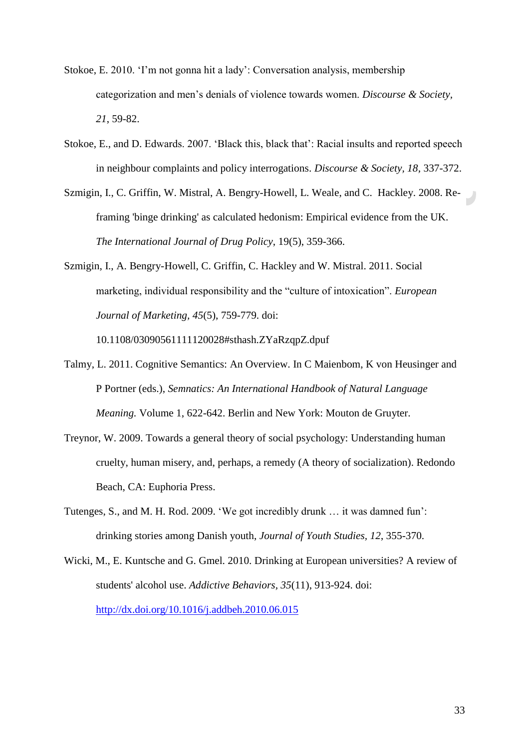- Stokoe, E. 2010. 'I'm not gonna hit a lady': Conversation analysis, membership categorization and men's denials of violence towards women. *Discourse & Society, 21*, 59-82.
- Stokoe, E., and D. Edwards. 2007. 'Black this, black that': Racial insults and reported speech in neighbour complaints and policy interrogations. *Discourse & Society, 18,* 337-372.
- <span id="page-32-0"></span>Szmigin, I., C. Griffin, W. Mistral, A. Bengry-Howell, L. Weale, and C. Hackley. 2008. Reframing 'binge drinking' as calculated hedonism: Empirical evidence from the UK. *The International Journal of Drug Policy*, 19(5), 359-366.
- Szmigin, I., A. Bengry-Howell, C. Griffin, C. Hackley and W. Mistral. 2011. Social marketing, individual responsibility and the "culture of intoxication". *European Journal of Marketing, 45*(5), 759-779. doi:

10.1108/03090561111120028#sthash.ZYaRzqpZ.dpuf

- <span id="page-32-1"></span>Talmy, L. 2011. Cognitive Semantics: An Overview. In C Maienbom, K von Heusinger and P Portner (eds.), *Semnatics: An International Handbook of Natural Language Meaning.* Volume 1, 622-642. Berlin and New York: Mouton de Gruyter.
- Treynor, W. 2009. Towards a general theory of social psychology: Understanding human cruelty, human misery, and, perhaps, a remedy (A theory of socialization). Redondo Beach, CA: Euphoria Press.
- Tutenges, S., and M. H. Rod. 2009. 'We got incredibly drunk … it was damned fun': drinking stories among Danish youth, *Journal of Youth Studies, 12*, 355-370.
- Wicki, M., E. Kuntsche and G. Gmel. 2010. Drinking at European universities? A review of students' alcohol use. *Addictive Behaviors, 35*(11), 913-924. doi: <http://dx.doi.org/10.1016/j.addbeh.2010.06.015>